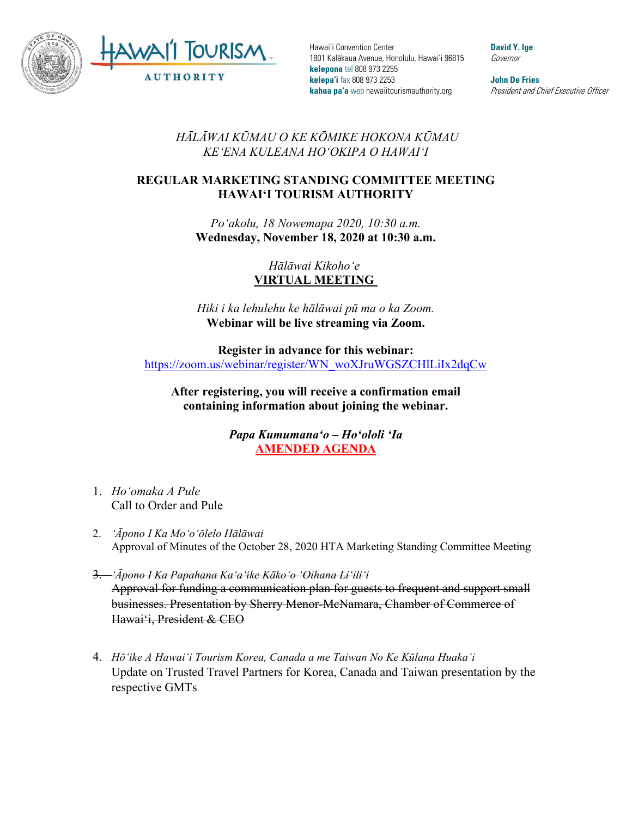

Hawai'i Convention Center 1801 Kalākaua Avenue, Honolulu, Hawai'i 96815 **kelepona** tel 808 973 2255 **kelepa'i** fax 808 973 2253 **kahua pa'a** web hawaiitourismauthority.org

**David Y. Ige** Governor

**John De Fries** President and Chief Executive Officer

*HĀLĀWAI KŪMAU O KE KŌMIKE HOKONA KŪMAU KEʻENA KULEANA HOʻOKIPA O HAWAIʻI* 

## **REGULAR MARKETING STANDING COMMITTEE MEETING HAWAI'I TOURISM AUTHORITY**

*Poʻakolu, 18 Nowemapa 2020, 10:30 a.m.* **Wednesday, November 18, 2020 at 10:30 a.m.**

> *Hālāwai Kikohoʻe* **VIRTUAL MEETING**

*Hiki i ka lehulehu ke hālāwai pū ma o ka Zoom.* **Webinar will be live streaming via Zoom.**

**Register in advance for this webinar:** [https://zoom.us/webinar/register/WN\\_woXJruWGSZCHlLiIx2dqCw](https://zoom.us/webinar/register/WN_woXJruWGSZCHlLiIx2dqCw)

**After registering, you will receive a confirmation email containing information about joining the webinar.**

> *Papa Kumumanaʻo – Hoʻololi ʻIa* **AMENDED AGENDA**

- 1. *Hoʻomaka A Pule* Call to Order and Pule
- 2. *ʻĀpono I Ka Moʻoʻōlelo Hālāwai*  Approval of Minutes of the October 28, 2020 HTA Marketing Standing Committee Meeting
- 3. *ʻĀpono I Ka Papahana Kaʻaʻike Kākoʻo ʻOihana Liʻiliʻi* Approval for funding a communication plan for guests to frequent and support small businesses. Presentation by Sherry Menor-McNamara, Chamber of Commerce of Hawai'i, President & CEO
- 4. *Hōʻike A Hawaiʻi Tourism Korea, Canada a me Taiwan No Ke Kūlana Huakaʻi* Update on Trusted Travel Partners for Korea, Canada and Taiwan presentation by the respective GMTs